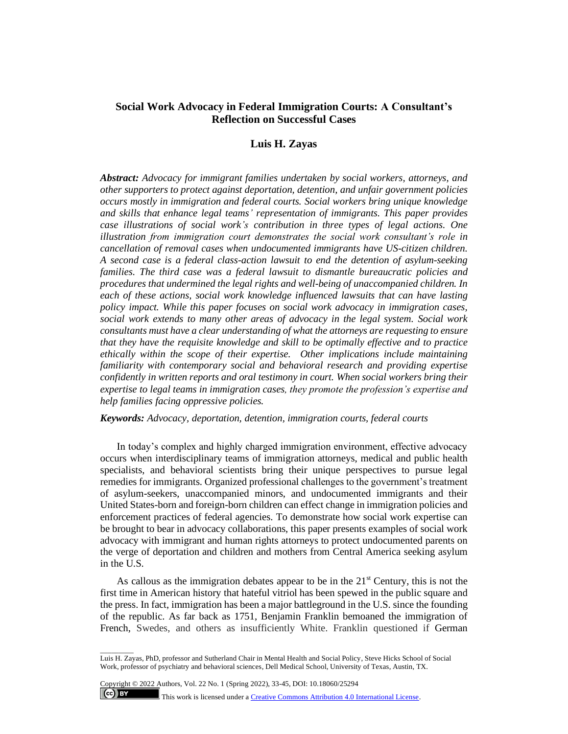# **Social Work Advocacy in Federal Immigration Courts: A Consultant's Reflection on Successful Cases**

# **Luis H. Zayas**

*Abstract: Advocacy for immigrant families undertaken by social workers, attorneys, and other supporters to protect against deportation, detention, and unfair government policies occurs mostly in immigration and federal courts. Social workers bring unique knowledge and skills that enhance legal teams' representation of immigrants. This paper provides case illustrations of social work's contribution in three types of legal actions. One illustration from immigration court demonstrates the social work consultant's role in cancellation of removal cases when undocumented immigrants have US-citizen children. A second case is a federal class-action lawsuit to end the detention of asylum-seeking families. The third case was a federal lawsuit to dismantle bureaucratic policies and procedures that undermined the legal rights and well-being of unaccompanied children. In each of these actions, social work knowledge influenced lawsuits that can have lasting policy impact. While this paper focuses on social work advocacy in immigration cases, social work extends to many other areas of advocacy in the legal system. Social work consultants must have a clear understanding of what the attorneys are requesting to ensure that they have the requisite knowledge and skill to be optimally effective and to practice ethically within the scope of their expertise. Other implications include maintaining familiarity with contemporary social and behavioral research and providing expertise confidently in written reports and oral testimony in court. When social workers bring their expertise to legal teams in immigration cases, they promote the profession's expertise and help families facing oppressive policies.*

### *Keywords: Advocacy, deportation, detention, immigration courts, federal courts*

In today's complex and highly charged immigration environment, effective advocacy occurs when interdisciplinary teams of immigration attorneys, medical and public health specialists, and behavioral scientists bring their unique perspectives to pursue legal remedies for immigrants. Organized professional challenges to the government's treatment of asylum-seekers, unaccompanied minors, and undocumented immigrants and their United States-born and foreign-born children can effect change in immigration policies and enforcement practices of federal agencies. To demonstrate how social work expertise can be brought to bear in advocacy collaborations, this paper presents examples of social work advocacy with immigrant and human rights attorneys to protect undocumented parents on the verge of deportation and children and mothers from Central America seeking asylum in the U.S.

As callous as the immigration debates appear to be in the  $21<sup>st</sup>$  Century, this is not the first time in American history that hateful vitriol has been spewed in the public square and the press. In fact, immigration has been a major battleground in the U.S. since the founding of the republic. As far back as 1751, Benjamin Franklin bemoaned the immigration of French, Swedes, and others as insufficiently White. Franklin questioned if German

Copyright © 2022 Authors, Vol. 22 No. 1 (Spring 2022), 33-45, DOI: 10.18060/25294

 $\overline{\phantom{a}}$  . The contract of  $\overline{\phantom{a}}$ 

 $(cc)$  BY This work is licensed under a **Creative Commons Attribution 4.0 International License**.

Luis H. Zayas, PhD, professor and Sutherland Chair in Mental Health and Social Policy, Steve Hicks School of Social Work, professor of psychiatry and behavioral sciences, Dell Medical School, University of Texas, Austin, TX.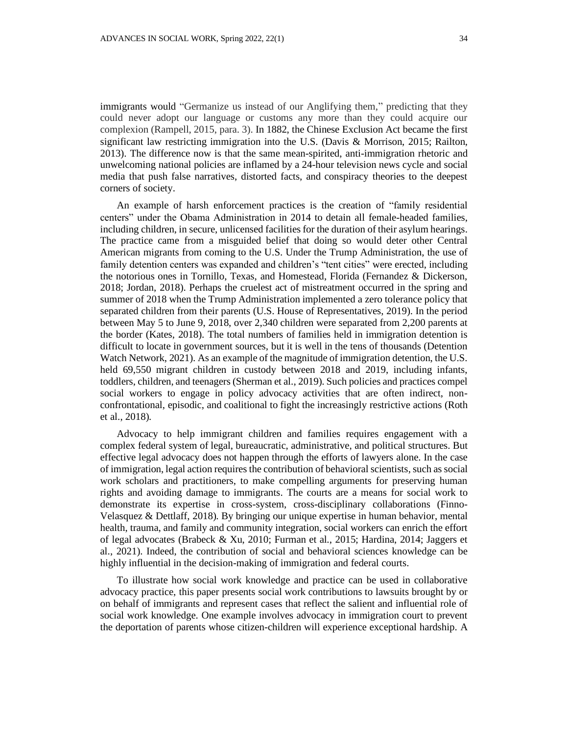immigrants would "Germanize us instead of our Anglifying them," predicting that they could never adopt our language or customs any more than they could acquire our complexion (Rampell, 2015, para. 3). In 1882, the Chinese Exclusion Act became the first significant law restricting immigration into the U.S. (Davis & Morrison, 2015; Railton, 2013). The difference now is that the same mean-spirited, anti-immigration rhetoric and unwelcoming national policies are inflamed by a 24-hour television news cycle and social media that push false narratives, distorted facts, and conspiracy theories to the deepest corners of society.

An example of harsh enforcement practices is the creation of "family residential centers" under the Obama Administration in 2014 to detain all female-headed families, including children, in secure, unlicensed facilities for the duration of their asylum hearings. The practice came from a misguided belief that doing so would deter other Central American migrants from coming to the U.S. Under the Trump Administration, the use of family detention centers was expanded and children's "tent cities" were erected, including the notorious ones in Tornillo, Texas, and Homestead, Florida (Fernandez & Dickerson, 2018; Jordan, 2018). Perhaps the cruelest act of mistreatment occurred in the spring and summer of 2018 when the Trump Administration implemented a zero tolerance policy that separated children from their parents (U.S. House of Representatives, 2019). In the period between May 5 to June 9, 2018, over 2,340 children were separated from 2,200 parents at the border (Kates, 2018). The total numbers of families held in immigration detention is difficult to locate in government sources, but it is well in the tens of thousands (Detention Watch Network, 2021). As an example of the magnitude of immigration detention, the U.S. held 69,550 migrant children in custody between 2018 and 2019, including infants, toddlers, children, and teenagers (Sherman et al., 2019). Such policies and practices compel social workers to engage in policy advocacy activities that are often indirect, nonconfrontational, episodic, and coalitional to fight the increasingly restrictive actions (Roth et al., 2018).

Advocacy to help immigrant children and families requires engagement with a complex federal system of legal, bureaucratic, administrative, and political structures. But effective legal advocacy does not happen through the efforts of lawyers alone. In the case of immigration, legal action requires the contribution of behavioral scientists, such as social work scholars and practitioners, to make compelling arguments for preserving human rights and avoiding damage to immigrants. The courts are a means for social work to demonstrate its expertise in cross-system, cross-disciplinary collaborations (Finno-Velasquez & Dettlaff, 2018). By bringing our unique expertise in human behavior, mental health, trauma, and family and community integration, social workers can enrich the effort of legal advocates (Brabeck & Xu, 2010; Furman et al., 2015; Hardina, 2014; Jaggers et al., 2021). Indeed, the contribution of social and behavioral sciences knowledge can be highly influential in the decision-making of immigration and federal courts.

To illustrate how social work knowledge and practice can be used in collaborative advocacy practice, this paper presents social work contributions to lawsuits brought by or on behalf of immigrants and represent cases that reflect the salient and influential role of social work knowledge. One example involves advocacy in immigration court to prevent the deportation of parents whose citizen-children will experience exceptional hardship. A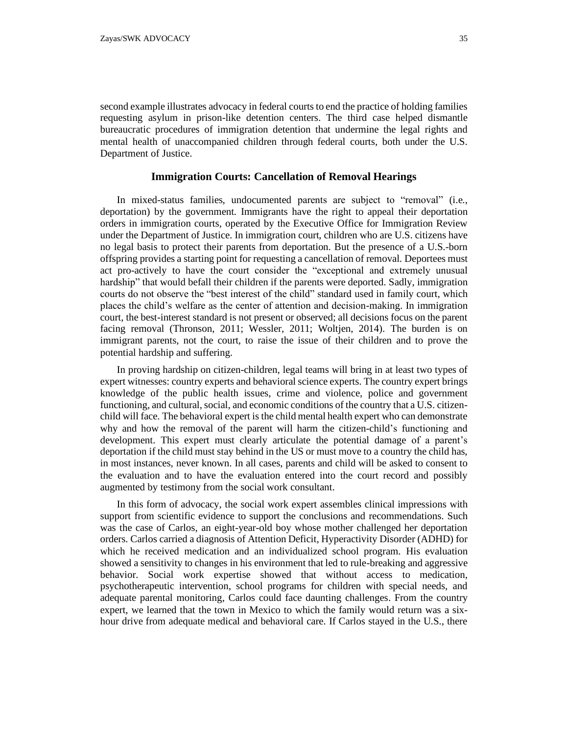second example illustrates advocacy in federal courts to end the practice of holding families requesting asylum in prison-like detention centers. The third case helped dismantle bureaucratic procedures of immigration detention that undermine the legal rights and mental health of unaccompanied children through federal courts, both under the U.S. Department of Justice.

#### **Immigration Courts: Cancellation of Removal Hearings**

In mixed-status families, undocumented parents are subject to "removal" (i.e., deportation) by the government. Immigrants have the right to appeal their deportation orders in immigration courts, operated by the Executive Office for Immigration Review under the Department of Justice. In immigration court, children who are U.S. citizens have no legal basis to protect their parents from deportation. But the presence of a U.S.-born offspring provides a starting point for requesting a cancellation of removal. Deportees must act pro-actively to have the court consider the "exceptional and extremely unusual hardship" that would befall their children if the parents were deported. Sadly, immigration courts do not observe the "best interest of the child" standard used in family court, which places the child's welfare as the center of attention and decision-making. In immigration court, the best-interest standard is not present or observed; all decisions focus on the parent facing removal (Thronson, 2011; Wessler, 2011; Woltjen, 2014). The burden is on immigrant parents, not the court, to raise the issue of their children and to prove the potential hardship and suffering.

In proving hardship on citizen-children, legal teams will bring in at least two types of expert witnesses: country experts and behavioral science experts. The country expert brings knowledge of the public health issues, crime and violence, police and government functioning, and cultural, social, and economic conditions of the country that a U.S. citizenchild will face. The behavioral expert is the child mental health expert who can demonstrate why and how the removal of the parent will harm the citizen-child's functioning and development. This expert must clearly articulate the potential damage of a parent's deportation if the child must stay behind in the US or must move to a country the child has, in most instances, never known. In all cases, parents and child will be asked to consent to the evaluation and to have the evaluation entered into the court record and possibly augmented by testimony from the social work consultant.

In this form of advocacy, the social work expert assembles clinical impressions with support from scientific evidence to support the conclusions and recommendations. Such was the case of Carlos, an eight-year-old boy whose mother challenged her deportation orders. Carlos carried a diagnosis of Attention Deficit, Hyperactivity Disorder (ADHD) for which he received medication and an individualized school program. His evaluation showed a sensitivity to changes in his environment that led to rule-breaking and aggressive behavior. Social work expertise showed that without access to medication, psychotherapeutic intervention, school programs for children with special needs, and adequate parental monitoring, Carlos could face daunting challenges. From the country expert, we learned that the town in Mexico to which the family would return was a sixhour drive from adequate medical and behavioral care. If Carlos stayed in the U.S., there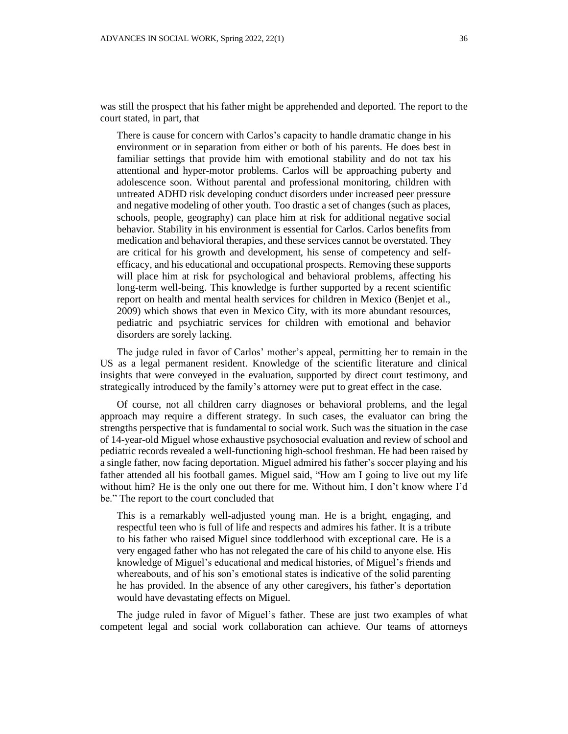was still the prospect that his father might be apprehended and deported. The report to the court stated, in part, that

There is cause for concern with Carlos's capacity to handle dramatic change in his environment or in separation from either or both of his parents. He does best in familiar settings that provide him with emotional stability and do not tax his attentional and hyper-motor problems. Carlos will be approaching puberty and adolescence soon. Without parental and professional monitoring, children with untreated ADHD risk developing conduct disorders under increased peer pressure and negative modeling of other youth. Too drastic a set of changes (such as places, schools, people, geography) can place him at risk for additional negative social behavior. Stability in his environment is essential for Carlos. Carlos benefits from medication and behavioral therapies, and these services cannot be overstated. They are critical for his growth and development, his sense of competency and selfefficacy, and his educational and occupational prospects. Removing these supports will place him at risk for psychological and behavioral problems, affecting his long-term well-being. This knowledge is further supported by a recent scientific report on health and mental health services for children in Mexico (Benjet et al., 2009) which shows that even in Mexico City, with its more abundant resources, pediatric and psychiatric services for children with emotional and behavior disorders are sorely lacking.

The judge ruled in favor of Carlos' mother's appeal, permitting her to remain in the US as a legal permanent resident. Knowledge of the scientific literature and clinical insights that were conveyed in the evaluation, supported by direct court testimony, and strategically introduced by the family's attorney were put to great effect in the case.

Of course, not all children carry diagnoses or behavioral problems, and the legal approach may require a different strategy. In such cases, the evaluator can bring the strengths perspective that is fundamental to social work. Such was the situation in the case of 14-year-old Miguel whose exhaustive psychosocial evaluation and review of school and pediatric records revealed a well-functioning high-school freshman. He had been raised by a single father, now facing deportation. Miguel admired his father's soccer playing and his father attended all his football games. Miguel said, "How am I going to live out my life without him? He is the only one out there for me. Without him, I don't know where I'd be." The report to the court concluded that

This is a remarkably well-adjusted young man. He is a bright, engaging, and respectful teen who is full of life and respects and admires his father. It is a tribute to his father who raised Miguel since toddlerhood with exceptional care. He is a very engaged father who has not relegated the care of his child to anyone else. His knowledge of Miguel's educational and medical histories, of Miguel's friends and whereabouts, and of his son's emotional states is indicative of the solid parenting he has provided. In the absence of any other caregivers, his father's deportation would have devastating effects on Miguel.

The judge ruled in favor of Miguel's father. These are just two examples of what competent legal and social work collaboration can achieve. Our teams of attorneys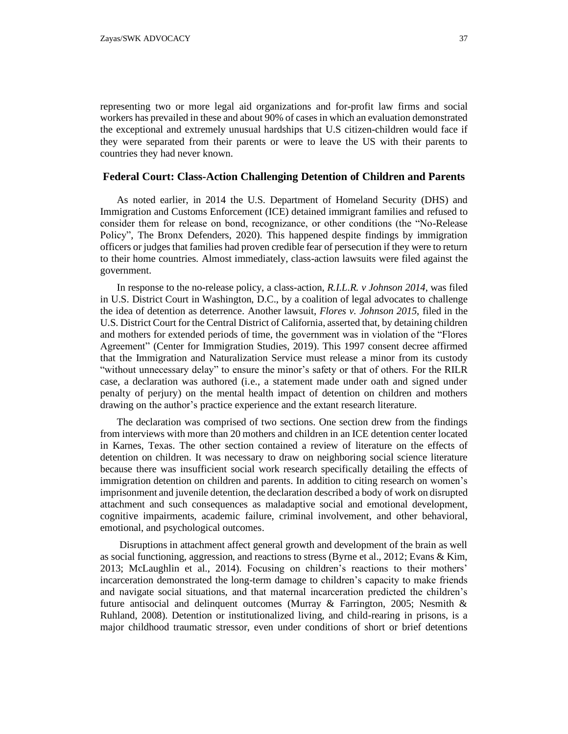representing two or more legal aid organizations and for-profit law firms and social workers has prevailed in these and about 90% of cases in which an evaluation demonstrated the exceptional and extremely unusual hardships that U.S citizen-children would face if they were separated from their parents or were to leave the US with their parents to countries they had never known.

### **Federal Court: Class-Action Challenging Detention of Children and Parents**

As noted earlier, in 2014 the U.S. Department of Homeland Security (DHS) and Immigration and Customs Enforcement (ICE) detained immigrant families and refused to consider them for release on bond, recognizance, or other conditions (the "No-Release Policy", The Bronx Defenders, 2020). This happened despite findings by immigration officers or judges that families had proven credible fear of persecution if they were to return to their home countries. Almost immediately, class-action lawsuits were filed against the government.

In response to the no-release policy, a class-action, *R.I.L.R. v Johnson 2014*, was filed in U.S. District Court in Washington, D.C., by a coalition of legal advocates to challenge the idea of detention as deterrence. Another lawsuit, *Flores v. Johnson 2015*, filed in the U.S. District Court for the Central District of California, asserted that, by detaining children and mothers for extended periods of time, the government was in violation of the "Flores Agreement" (Center for Immigration Studies, 2019). This 1997 consent decree affirmed that the Immigration and Naturalization Service must release a minor from its custody "without unnecessary delay" to ensure the minor's safety or that of others. For the RILR case, a declaration was authored (i.e., a statement made under oath and signed under penalty of perjury) on the mental health impact of detention on children and mothers drawing on the author's practice experience and the extant research literature.

The declaration was comprised of two sections. One section drew from the findings from interviews with more than 20 mothers and children in an ICE detention center located in Karnes, Texas. The other section contained a review of literature on the effects of detention on children. It was necessary to draw on neighboring social science literature because there was insufficient social work research specifically detailing the effects of immigration detention on children and parents. In addition to citing research on women's imprisonment and juvenile detention, the declaration described a body of work on disrupted attachment and such consequences as maladaptive social and emotional development, cognitive impairments, academic failure, criminal involvement, and other behavioral, emotional, and psychological outcomes.

Disruptions in attachment affect general growth and development of the brain as well as social functioning, aggression, and reactions to stress (Byrne et al., 2012; Evans & Kim, 2013; McLaughlin et al., 2014). Focusing on children's reactions to their mothers' incarceration demonstrated the long-term damage to children's capacity to make friends and navigate social situations, and that maternal incarceration predicted the children's future antisocial and delinquent outcomes (Murray & Farrington, 2005; Nesmith & Ruhland, 2008). Detention or institutionalized living, and child-rearing in prisons, is a major childhood traumatic stressor, even under conditions of short or brief detentions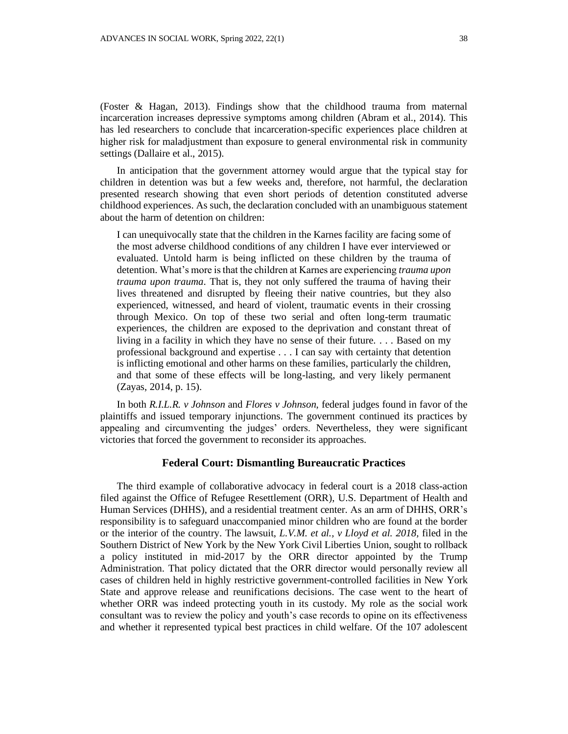(Foster & Hagan, 2013). Findings show that the childhood trauma from maternal incarceration increases depressive symptoms among children (Abram et al., 2014). This has led researchers to conclude that incarceration-specific experiences place children at higher risk for maladjustment than exposure to general environmental risk in community settings (Dallaire et al., 2015).

In anticipation that the government attorney would argue that the typical stay for children in detention was but a few weeks and, therefore, not harmful, the declaration presented research showing that even short periods of detention constituted adverse childhood experiences. As such, the declaration concluded with an unambiguous statement about the harm of detention on children:

I can unequivocally state that the children in the Karnes facility are facing some of the most adverse childhood conditions of any children I have ever interviewed or evaluated. Untold harm is being inflicted on these children by the trauma of detention. What's more is that the children at Karnes are experiencing *trauma upon trauma upon trauma*. That is, they not only suffered the trauma of having their lives threatened and disrupted by fleeing their native countries, but they also experienced, witnessed, and heard of violent, traumatic events in their crossing through Mexico. On top of these two serial and often long-term traumatic experiences, the children are exposed to the deprivation and constant threat of living in a facility in which they have no sense of their future. . . . Based on my professional background and expertise . . . I can say with certainty that detention is inflicting emotional and other harms on these families, particularly the children, and that some of these effects will be long-lasting, and very likely permanent (Zayas, 2014, p. 15).

In both *R.I.L.R. v Johnson* and *Flores v Johnson*, federal judges found in favor of the plaintiffs and issued temporary injunctions. The government continued its practices by appealing and circumventing the judges' orders. Nevertheless, they were significant victories that forced the government to reconsider its approaches.

### **Federal Court: Dismantling Bureaucratic Practices**

The third example of collaborative advocacy in federal court is a 2018 class-action filed against the Office of Refugee Resettlement (ORR), U.S. Department of Health and Human Services (DHHS), and a residential treatment center. As an arm of DHHS, ORR's responsibility is to safeguard unaccompanied minor children who are found at the border or the interior of the country. The lawsuit, *L.V.M. et al., v Lloyd et al. 2018,* filed in the Southern District of New York by the New York Civil Liberties Union, sought to rollback a policy instituted in mid-2017 by the ORR director appointed by the Trump Administration. That policy dictated that the ORR director would personally review all cases of children held in highly restrictive government-controlled facilities in New York State and approve release and reunifications decisions. The case went to the heart of whether ORR was indeed protecting youth in its custody. My role as the social work consultant was to review the policy and youth's case records to opine on its effectiveness and whether it represented typical best practices in child welfare. Of the 107 adolescent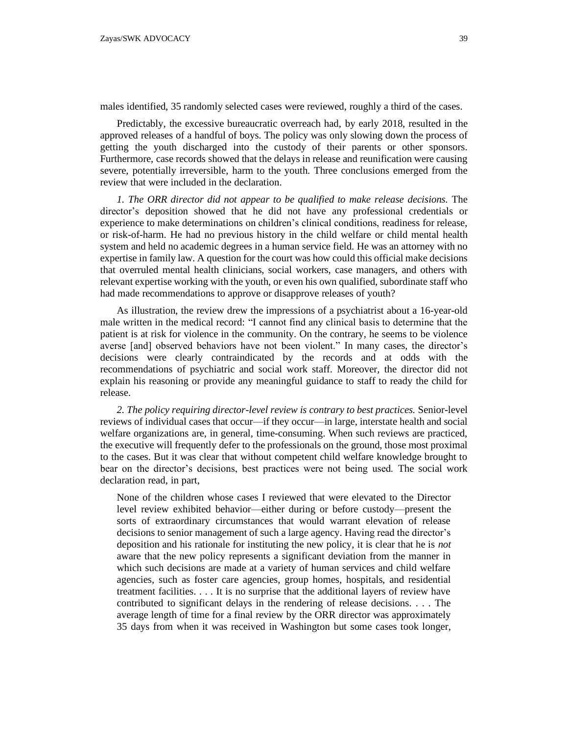males identified, 35 randomly selected cases were reviewed, roughly a third of the cases.

Predictably, the excessive bureaucratic overreach had, by early 2018, resulted in the approved releases of a handful of boys. The policy was only slowing down the process of getting the youth discharged into the custody of their parents or other sponsors. Furthermore, case records showed that the delays in release and reunification were causing severe, potentially irreversible, harm to the youth. Three conclusions emerged from the review that were included in the declaration.

*1. The ORR director did not appear to be qualified to make release decisions.* The director's deposition showed that he did not have any professional credentials or experience to make determinations on children's clinical conditions, readiness for release, or risk-of-harm. He had no previous history in the child welfare or child mental health system and held no academic degrees in a human service field. He was an attorney with no expertise in family law. A question for the court was how could this official make decisions that overruled mental health clinicians, social workers, case managers, and others with relevant expertise working with the youth, or even his own qualified, subordinate staff who had made recommendations to approve or disapprove releases of youth?

As illustration, the review drew the impressions of a psychiatrist about a 16-year-old male written in the medical record: "I cannot find any clinical basis to determine that the patient is at risk for violence in the community. On the contrary, he seems to be violence averse [and] observed behaviors have not been violent." In many cases, the director's decisions were clearly contraindicated by the records and at odds with the recommendations of psychiatric and social work staff. Moreover, the director did not explain his reasoning or provide any meaningful guidance to staff to ready the child for release.

*2. The policy requiring director-level review is contrary to best practices.* Senior-level reviews of individual cases that occur—if they occur—in large, interstate health and social welfare organizations are, in general, time-consuming. When such reviews are practiced, the executive will frequently defer to the professionals on the ground, those most proximal to the cases. But it was clear that without competent child welfare knowledge brought to bear on the director's decisions, best practices were not being used. The social work declaration read, in part,

None of the children whose cases I reviewed that were elevated to the Director level review exhibited behavior—either during or before custody—present the sorts of extraordinary circumstances that would warrant elevation of release decisions to senior management of such a large agency. Having read the director's deposition and his rationale for instituting the new policy, it is clear that he is *not*  aware that the new policy represents a significant deviation from the manner in which such decisions are made at a variety of human services and child welfare agencies, such as foster care agencies, group homes, hospitals, and residential treatment facilities. . . . It is no surprise that the additional layers of review have contributed to significant delays in the rendering of release decisions. . . . The average length of time for a final review by the ORR director was approximately 35 days from when it was received in Washington but some cases took longer,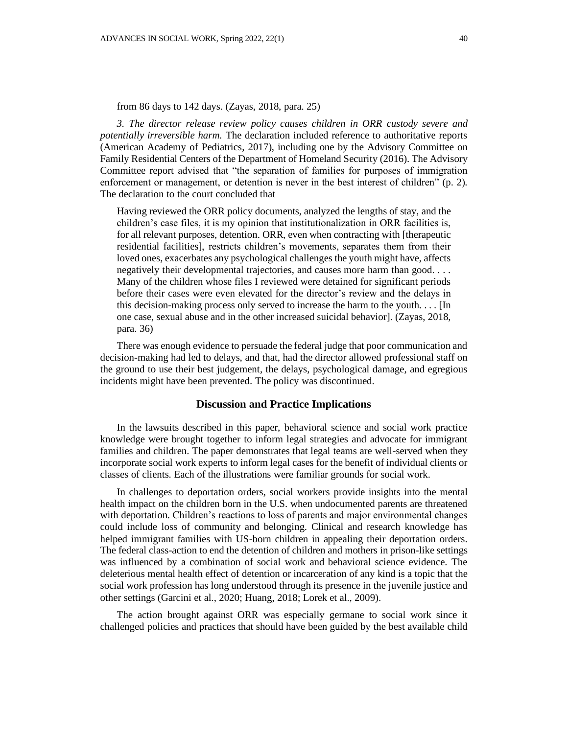*3. The director release review policy causes children in ORR custody severe and potentially irreversible harm.* The declaration included reference to authoritative reports (American Academy of Pediatrics, 2017), including one by the Advisory Committee on Family Residential Centers of the Department of Homeland Security (2016). The Advisory Committee report advised that "the separation of families for purposes of immigration enforcement or management, or detention is never in the best interest of children" (p. 2). The declaration to the court concluded that

Having reviewed the ORR policy documents, analyzed the lengths of stay, and the children's case files, it is my opinion that institutionalization in ORR facilities is, for all relevant purposes, detention. ORR, even when contracting with [therapeutic residential facilities], restricts children's movements, separates them from their loved ones, exacerbates any psychological challenges the youth might have, affects negatively their developmental trajectories, and causes more harm than good. . . . Many of the children whose files I reviewed were detained for significant periods before their cases were even elevated for the director's review and the delays in this decision-making process only served to increase the harm to the youth. . . . [In one case, sexual abuse and in the other increased suicidal behavior]. (Zayas, 2018, para. 36)

There was enough evidence to persuade the federal judge that poor communication and decision-making had led to delays, and that, had the director allowed professional staff on the ground to use their best judgement, the delays, psychological damage, and egregious incidents might have been prevented. The policy was discontinued.

### **Discussion and Practice Implications**

In the lawsuits described in this paper, behavioral science and social work practice knowledge were brought together to inform legal strategies and advocate for immigrant families and children. The paper demonstrates that legal teams are well-served when they incorporate social work experts to inform legal cases for the benefit of individual clients or classes of clients. Each of the illustrations were familiar grounds for social work.

In challenges to deportation orders, social workers provide insights into the mental health impact on the children born in the U.S. when undocumented parents are threatened with deportation. Children's reactions to loss of parents and major environmental changes could include loss of community and belonging. Clinical and research knowledge has helped immigrant families with US-born children in appealing their deportation orders. The federal class-action to end the detention of children and mothers in prison-like settings was influenced by a combination of social work and behavioral science evidence. The deleterious mental health effect of detention or incarceration of any kind is a topic that the social work profession has long understood through its presence in the juvenile justice and other settings (Garcini et al., 2020; Huang, 2018; Lorek et al., 2009).

The action brought against ORR was especially germane to social work since it challenged policies and practices that should have been guided by the best available child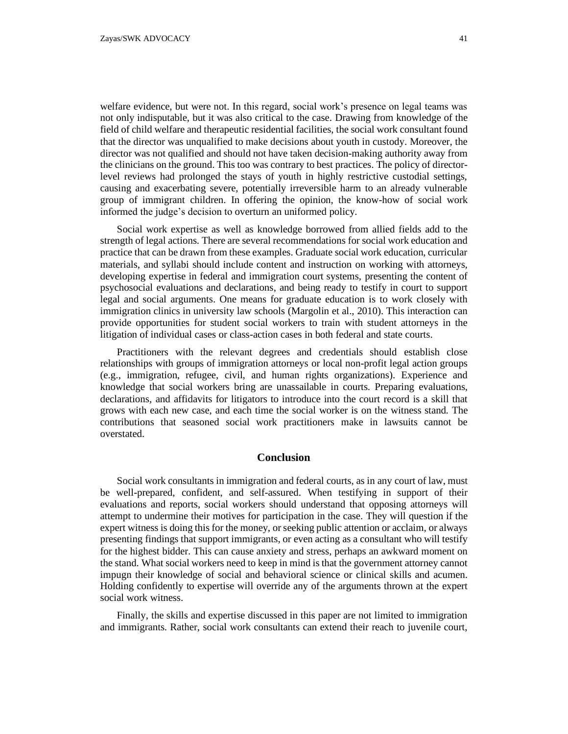welfare evidence, but were not. In this regard, social work's presence on legal teams was not only indisputable, but it was also critical to the case. Drawing from knowledge of the field of child welfare and therapeutic residential facilities, the social work consultant found that the director was unqualified to make decisions about youth in custody. Moreover, the director was not qualified and should not have taken decision-making authority away from the clinicians on the ground. This too was contrary to best practices. The policy of directorlevel reviews had prolonged the stays of youth in highly restrictive custodial settings, causing and exacerbating severe, potentially irreversible harm to an already vulnerable group of immigrant children. In offering the opinion, the know-how of social work informed the judge's decision to overturn an uniformed policy.

Social work expertise as well as knowledge borrowed from allied fields add to the strength of legal actions. There are several recommendations for social work education and practice that can be drawn from these examples. Graduate social work education, curricular materials, and syllabi should include content and instruction on working with attorneys, developing expertise in federal and immigration court systems, presenting the content of psychosocial evaluations and declarations, and being ready to testify in court to support legal and social arguments. One means for graduate education is to work closely with immigration clinics in university law schools (Margolin et al., 2010). This interaction can provide opportunities for student social workers to train with student attorneys in the litigation of individual cases or class-action cases in both federal and state courts.

Practitioners with the relevant degrees and credentials should establish close relationships with groups of immigration attorneys or local non-profit legal action groups (e.g., immigration, refugee, civil, and human rights organizations). Experience and knowledge that social workers bring are unassailable in courts. Preparing evaluations, declarations, and affidavits for litigators to introduce into the court record is a skill that grows with each new case, and each time the social worker is on the witness stand. The contributions that seasoned social work practitioners make in lawsuits cannot be overstated.

## **Conclusion**

Social work consultants in immigration and federal courts, as in any court of law, must be well-prepared, confident, and self-assured. When testifying in support of their evaluations and reports, social workers should understand that opposing attorneys will attempt to undermine their motives for participation in the case. They will question if the expert witness is doing this for the money, or seeking public attention or acclaim, or always presenting findings that support immigrants, or even acting as a consultant who will testify for the highest bidder. This can cause anxiety and stress, perhaps an awkward moment on the stand. What social workers need to keep in mind is that the government attorney cannot impugn their knowledge of social and behavioral science or clinical skills and acumen. Holding confidently to expertise will override any of the arguments thrown at the expert social work witness.

Finally, the skills and expertise discussed in this paper are not limited to immigration and immigrants. Rather, social work consultants can extend their reach to juvenile court,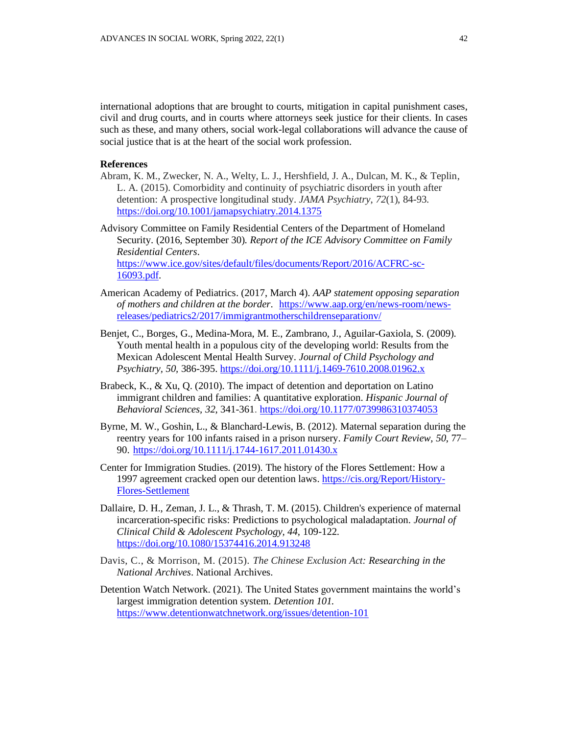international adoptions that are brought to courts, mitigation in capital punishment cases, civil and drug courts, and in courts where attorneys seek justice for their clients. In cases such as these, and many others, social work-legal collaborations will advance the cause of social justice that is at the heart of the social work profession.

#### **References**

Abram, K. M., Zwecker, N. A., Welty, L. J., Hershfield, J. A., Dulcan, M. K., & Teplin, L. A. (2015). Comorbidity and continuity of psychiatric disorders in youth after detention: A prospective longitudinal study. *JAMA Psychiatry*, *72*(1), 84-93. <https://doi.org/10.1001/jamapsychiatry.2014.1375>

Advisory Committee on Family Residential Centers of the Department of Homeland Security. (2016, September 30). *Report of the ICE Advisory Committee on Family Residential Centers*. [https://www.ice.gov/sites/default/files/documents/Report/2016/ACFRC-sc-](https://www.ice.gov/sites/default/files/documents/Report/2016/ACFRC-sc-16093.pdf)[16093.pdf.](https://www.ice.gov/sites/default/files/documents/Report/2016/ACFRC-sc-16093.pdf)

- American Academy of Pediatrics. (2017, March 4). *AAP statement opposing separation of mothers and children at the border*. [https://www.aap.org/en/news-room/news](https://www.aap.org/en/news-room/news-releases/pediatrics2/2017/immigrantmotherschildrenseparationv/)[releases/pediatrics2/2017/immigrantmotherschildrenseparationv/](https://www.aap.org/en/news-room/news-releases/pediatrics2/2017/immigrantmotherschildrenseparationv/)
- Benjet, C., Borges, G., Medina-Mora, M. E., Zambrano, J., Aguilar-Gaxiola, S. (2009). Youth mental health in a populous city of the developing world: Results from the Mexican Adolescent Mental Health Survey. *Journal of Child Psychology and Psychiatry, 50,* 386-395.<https://doi.org/10.1111/j.1469-7610.2008.01962.x>
- Brabeck, K., & Xu, Q. (2010). The impact of detention and deportation on Latino immigrant children and families: A quantitative exploration. *Hispanic Journal of Behavioral Sciences, 32*, 341-361. <https://doi.org/10.1177/0739986310374053>
- Byrne, M. W., Goshin, L., & Blanchard-Lewis, B. (2012). Maternal separation during the reentry years for 100 infants raised in a prison nursery. *Family Court Review, 50*, 77– 90. <https://doi.org/10.1111/j.1744-1617.2011.01430.x>
- Center for Immigration Studies. (2019). The history of the Flores Settlement: How a 1997 agreement cracked open our detention laws. [https://cis.org/Report/History-](https://cis.org/Report/History-Flores-Settlement)[Flores-Settlement](https://cis.org/Report/History-Flores-Settlement)
- Dallaire, D. H., Zeman, J. L., & Thrash, T. M. (2015). Children's experience of maternal incarceration-specific risks: Predictions to psychological maladaptation. *Journal of Clinical Child & Adolescent Psychology, 44*, 109-122. <https://doi.org/10.1080/15374416.2014.913248>
- Davis, C., & Morrison, M. (2015). *The Chinese Exclusion Act: Researching in the National Archives*. National Archives.
- Detention Watch Network. (2021). The United States government maintains the world's largest immigration detention system. *Detention 101.* <https://www.detentionwatchnetwork.org/issues/detention-101>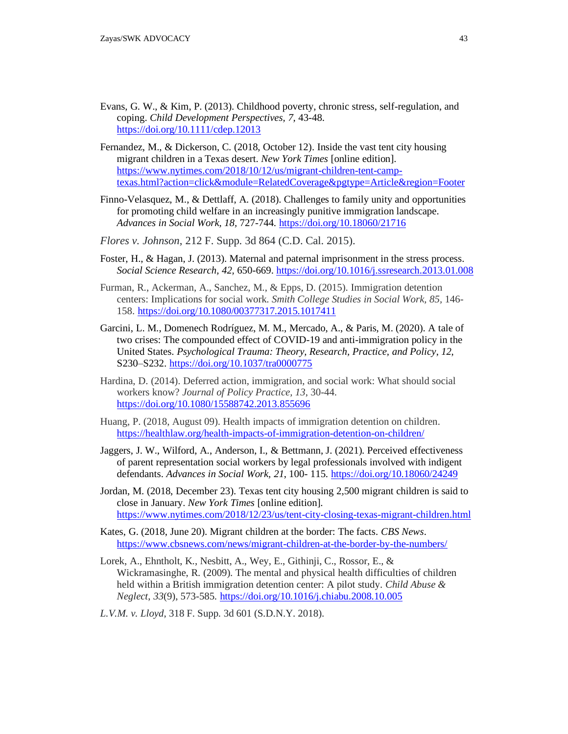- Evans, G. W., & Kim, P. (2013). Childhood poverty, chronic stress, self-regulation, and coping. *Child Development Perspectives, 7,* 43-48. <https://doi.org/10.1111/cdep.12013>
- Fernandez, M., & Dickerson, C. (2018, October 12). Inside the vast tent city housing migrant children in a Texas desert. *New York Times* [online edition]. [https://www.nytimes.com/2018/10/12/us/migrant-children-tent-camp](https://www.nytimes.com/2018/10/12/us/migrant-children-tent-camp-texas.html?action=click&module=RelatedCoverage&pgtype=Article®ion=Footer)[texas.html?action=click&module=RelatedCoverage&pgtype=Article&region=Footer](https://www.nytimes.com/2018/10/12/us/migrant-children-tent-camp-texas.html?action=click&module=RelatedCoverage&pgtype=Article®ion=Footer)
- Finno-Velasquez, M., & Dettlaff, A. (2018). Challenges to family unity and opportunities for promoting child welfare in an increasingly punitive immigration landscape. *Advances in Social Work, 18,* 727-744. <https://doi.org/10.18060/21716>
- *Flores v. Johnson*, 212 F. Supp. 3d 864 (C.D. Cal. 2015).
- Foster, H., & Hagan, J. (2013). Maternal and paternal imprisonment in the stress process. *Social Science Research, 42,* 650-669[. https://doi.org/10.1016/j.ssresearch.2013.01.008](https://doi.org/10.1016/j.ssresearch.2013.01.008)
- Furman, R., Ackerman, A., Sanchez, M., & Epps, D. (2015). Immigration detention centers: Implications for social work. *Smith College Studies in Social Work, 85,* 146- 158. <https://doi.org/10.1080/00377317.2015.1017411>
- Garcini, L. M., Domenech Rodríguez, M. M., Mercado, A., & Paris, M. (2020). A tale of two crises: The compounded effect of COVID-19 and anti-immigration policy in the United States. *Psychological Trauma: Theory, Research, Practice, and Policy*, *12*, S230–S232. <https://doi.org/10.1037/tra0000775>
- Hardina, D. (2014). Deferred action, immigration, and social work: What should social workers know? *Journal of Policy Practice, 13*, 30-44. <https://doi.org/10.1080/15588742.2013.855696>
- Huang, P. (2018, August 09). Health impacts of immigration detention on children. <https://healthlaw.org/health-impacts-of-immigration-detention-on-children/>
- Jaggers, J. W., Wilford, A., Anderson, I., & Bettmann, J. (2021). Perceived effectiveness of parent representation social workers by legal professionals involved with indigent defendants. *Advances in Social Work, 21*, 100- 115. <https://doi.org/10.18060/24249>
- Jordan, M. (2018, December 23). Texas tent city housing 2,500 migrant children is said to close in January. *New York Times* [online edition]. <https://www.nytimes.com/2018/12/23/us/tent-city-closing-texas-migrant-children.html>
- Kates, G. (2018, June 20). Migrant children at the border: The facts. *CBS News*. <https://www.cbsnews.com/news/migrant-children-at-the-border-by-the-numbers/>
- Lorek, A., Ehntholt, K., Nesbitt, A., Wey, E., Githinji, C., Rossor, E., & Wickramasinghe, R. (2009). The mental and physical health difficulties of children held within a British immigration detention center: A pilot study. *Child Abuse & Neglect*, *33*(9), 573-585. <https://doi.org/10.1016/j.chiabu.2008.10.005>
- *L.V.M. v. Lloyd*, 318 F. Supp. 3d 601 (S.D.N.Y. 2018).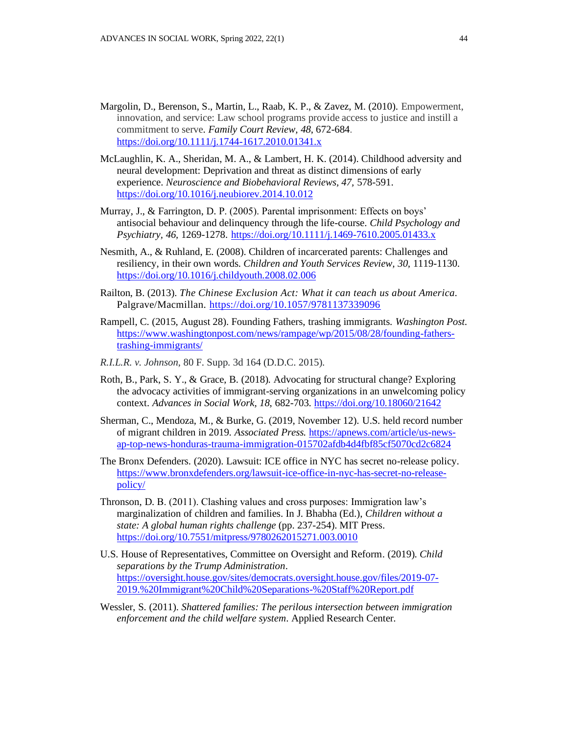- Margolin, D., Berenson, S., Martin, L., Raab, K. P., & Zavez, M. (2010). Empowerment, innovation, and service: Law school programs provide access to justice and instill a commitment to serve. *Family Court Review, 48*, 672-684. <https://doi.org/10.1111/j.1744-1617.2010.01341.x>
- McLaughlin, K. A., Sheridan, M. A., & Lambert, H. K. (2014). Childhood adversity and neural development: Deprivation and threat as distinct dimensions of early experience. *Neuroscience and Biobehavioral Reviews, 47,* 578-591. <https://doi.org/10.1016/j.neubiorev.2014.10.012>
- Murray, J., & Farrington, D. P. (2005). Parental imprisonment: Effects on boys' antisocial behaviour and delinquency through the life-course. *Child Psychology and Psychiatry, 46,* 1269-1278. <https://doi.org/10.1111/j.1469-7610.2005.01433.x>
- Nesmith, A., & Ruhland, E. (2008). Children of incarcerated parents: Challenges and resiliency, in their own words. *Children and Youth Services Review, 30,* 1119-1130. <https://doi.org/10.1016/j.childyouth.2008.02.006>
- Railton, B. (2013). *The Chinese Exclusion Act: What it can teach us about America.*  Palgrave/Macmillan. <https://doi.org/10.1057/9781137339096>
- Rampell, C. (2015, August 28). Founding Fathers, trashing immigrants. *Washington Post*. [https://www.washingtonpost.com/news/rampage/wp/2015/08/28/founding-fathers](https://www.washingtonpost.com/news/rampage/wp/2015/08/28/founding-fathers-trashing-immigrants/)[trashing-immigrants/](https://www.washingtonpost.com/news/rampage/wp/2015/08/28/founding-fathers-trashing-immigrants/)
- *R.I.L.R. v. Johnson*, 80 F. Supp. 3d 164 (D.D.C. 2015).
- Roth, B., Park, S. Y., & Grace, B. (2018). Advocating for structural change? Exploring the advocacy activities of immigrant-serving organizations in an unwelcoming policy context. *Advances in Social Work, 18*, 682-703. <https://doi.org/10.18060/21642>
- Sherman, C., Mendoza, M., & Burke, G. (2019, November 12). U.S. held record number of migrant children in 2019. *Associated Press.* [https://apnews.com/article/us-news](https://apnews.com/article/us-news-ap-top-news-honduras-trauma-immigration-015702afdb4d4fbf85cf5070cd2c6824)[ap-top-news-honduras-trauma-immigration-015702afdb4d4fbf85cf5070cd2c6824](https://apnews.com/article/us-news-ap-top-news-honduras-trauma-immigration-015702afdb4d4fbf85cf5070cd2c6824)
- The Bronx Defenders. (2020). Lawsuit: ICE office in NYC has secret no-release policy. [https://www.bronxdefenders.org/lawsuit-ice-office-in-nyc-has-secret-no-release](https://www.bronxdefenders.org/lawsuit-ice-office-in-nyc-has-secret-no-release-policy/)[policy/](https://www.bronxdefenders.org/lawsuit-ice-office-in-nyc-has-secret-no-release-policy/)
- Thronson, D. B. (2011). Clashing values and cross purposes: Immigration law's marginalization of children and families. In J. Bhabha (Ed.), *Children without a state: A global human rights challenge* (pp. 237-254). MIT Press. <https://doi.org/10.7551/mitpress/9780262015271.003.0010>
- U.S. House of Representatives, Committee on Oversight and Reform. (2019). *Child separations by the Trump Administration*. [https://oversight.house.gov/sites/democrats.oversight.house.gov/files/2019-07-](https://oversight.house.gov/sites/democrats.oversight.house.gov/files/2019-07-2019.%20Immigrant%20Child%20Separations-%20Staff%20Report.pdf) [2019.%20Immigrant%20Child%20Separations-%20Staff%20Report.pdf](https://oversight.house.gov/sites/democrats.oversight.house.gov/files/2019-07-2019.%20Immigrant%20Child%20Separations-%20Staff%20Report.pdf)
- Wessler, S. (2011). *Shattered families: The perilous intersection between immigration enforcement and the child welfare system*. Applied Research Center*.*